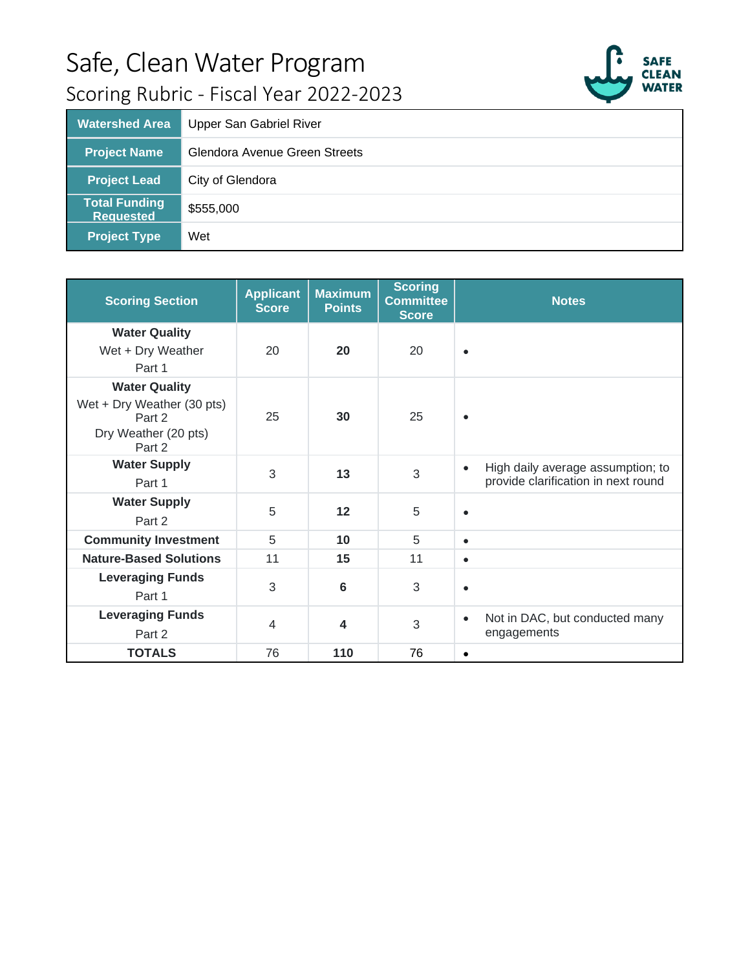

| <b>Watershed Area</b>                    | Upper San Gabriel River       |
|------------------------------------------|-------------------------------|
| <b>Project Name</b>                      | Glendora Avenue Green Streets |
| <b>Project Lead</b>                      | City of Glendora              |
| <b>Total Funding</b><br><b>Requested</b> | \$555,000                     |
| <b>Project Type</b>                      | Wet                           |

| <b>Scoring Section</b>                                                                         | <b>Applicant</b><br><b>Score</b> | <b>Maximum</b><br><b>Points</b> | <b>Scoring</b><br><b>Committee</b><br><b>Score</b> | <b>Notes</b>                                                                          |
|------------------------------------------------------------------------------------------------|----------------------------------|---------------------------------|----------------------------------------------------|---------------------------------------------------------------------------------------|
| <b>Water Quality</b><br>Wet + Dry Weather<br>Part 1                                            | 20                               | 20                              | 20                                                 | $\bullet$                                                                             |
| <b>Water Quality</b><br>Wet + Dry Weather (30 pts)<br>Part 2<br>Dry Weather (20 pts)<br>Part 2 | 25                               | 30                              | 25                                                 | $\bullet$                                                                             |
| <b>Water Supply</b><br>Part 1                                                                  | 3                                | 13                              | 3                                                  | High daily average assumption; to<br>$\bullet$<br>provide clarification in next round |
| <b>Water Supply</b><br>Part 2                                                                  | 5                                | 12                              | 5                                                  | $\bullet$                                                                             |
| <b>Community Investment</b>                                                                    | 5                                | 10                              | 5                                                  | $\bullet$                                                                             |
| <b>Nature-Based Solutions</b>                                                                  | 11                               | 15                              | 11                                                 | $\bullet$                                                                             |
| <b>Leveraging Funds</b><br>Part 1                                                              | 3                                | 6                               | 3                                                  | $\bullet$                                                                             |
| <b>Leveraging Funds</b><br>Part 2                                                              | $\overline{4}$                   | 4                               | 3                                                  | Not in DAC, but conducted many<br>$\bullet$<br>engagements                            |
| <b>TOTALS</b>                                                                                  | 76                               | 110                             | 76                                                 | $\bullet$                                                                             |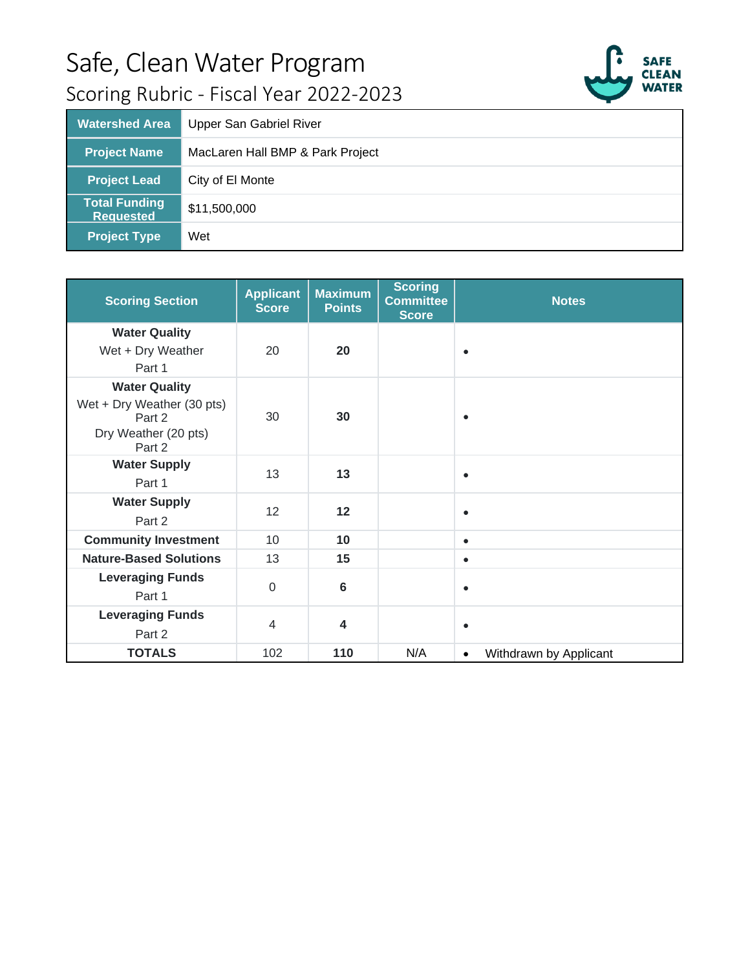

| <b>Watershed Area</b>                    | <b>Upper San Gabriel River</b>   |
|------------------------------------------|----------------------------------|
| <b>Project Name</b>                      | MacLaren Hall BMP & Park Project |
| <b>Project Lead</b>                      | City of El Monte                 |
| <b>Total Funding</b><br><b>Requested</b> | \$11,500,000                     |
| <b>Project Type</b>                      | Wet                              |

| <b>Scoring Section</b>                                                                         | <b>Applicant</b><br><b>Score</b> | <b>Maximum</b><br><b>Points</b> | <b>Scoring</b><br><b>Committee</b><br><b>Score</b> | <b>Notes</b>                        |
|------------------------------------------------------------------------------------------------|----------------------------------|---------------------------------|----------------------------------------------------|-------------------------------------|
| <b>Water Quality</b><br>Wet + Dry Weather<br>Part 1                                            | 20                               | 20                              |                                                    | $\bullet$                           |
| <b>Water Quality</b><br>Wet + Dry Weather (30 pts)<br>Part 2<br>Dry Weather (20 pts)<br>Part 2 | 30                               | 30                              |                                                    | $\bullet$                           |
| <b>Water Supply</b><br>Part 1                                                                  | 13                               | 13                              |                                                    | $\bullet$                           |
| <b>Water Supply</b><br>Part 2                                                                  | 12                               | 12                              |                                                    | $\bullet$                           |
| <b>Community Investment</b>                                                                    | 10                               | 10                              |                                                    | $\bullet$                           |
| <b>Nature-Based Solutions</b>                                                                  | 13                               | 15                              |                                                    | $\bullet$                           |
| <b>Leveraging Funds</b><br>Part 1                                                              | $\mathbf 0$                      | 6                               |                                                    | $\bullet$                           |
| <b>Leveraging Funds</b><br>Part 2                                                              | $\overline{4}$                   | $\overline{\mathbf{4}}$         |                                                    | $\bullet$                           |
| <b>TOTALS</b>                                                                                  | 102                              | 110                             | N/A                                                | Withdrawn by Applicant<br>$\bullet$ |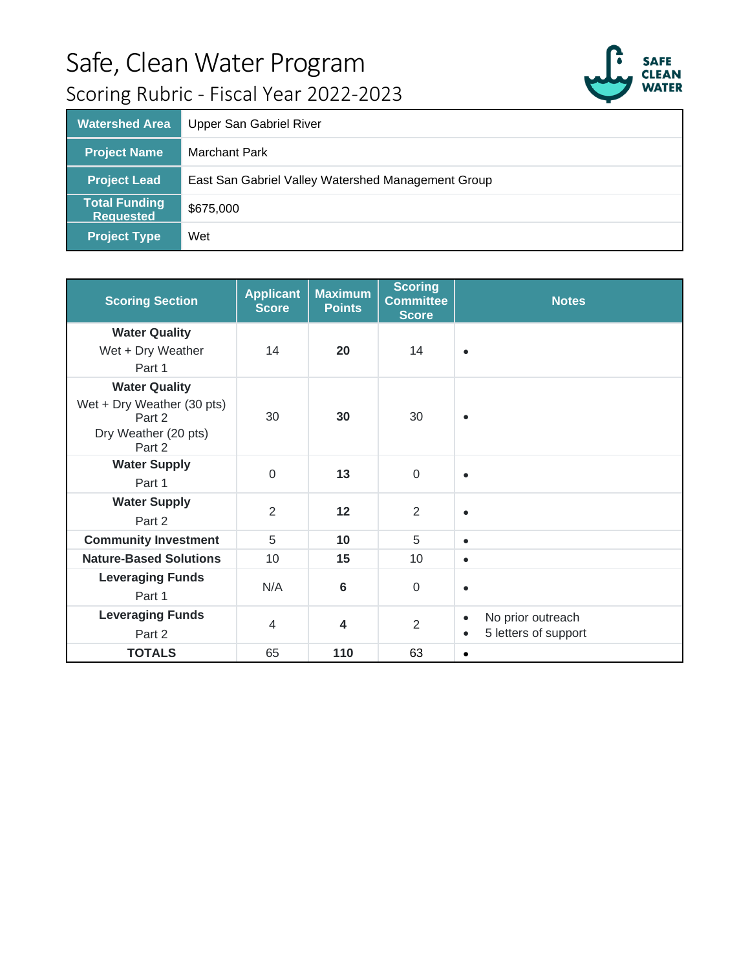

| <b>Watershed Area</b>                    | Upper San Gabriel River                            |
|------------------------------------------|----------------------------------------------------|
| <b>Project Name</b>                      | <b>Marchant Park</b>                               |
| <b>Project Lead</b>                      | East San Gabriel Valley Watershed Management Group |
| <b>Total Funding</b><br><b>Requested</b> | \$675,000                                          |
| Project Type <sup>"</sup>                | Wet                                                |

| <b>Scoring Section</b>                                                                         | <b>Applicant</b><br><b>Score</b> | <b>Maximum</b><br><b>Points</b> | <b>Scoring</b><br><b>Committee</b><br><b>Score</b> | <b>Notes</b>                                                        |
|------------------------------------------------------------------------------------------------|----------------------------------|---------------------------------|----------------------------------------------------|---------------------------------------------------------------------|
| <b>Water Quality</b><br>Wet + Dry Weather<br>Part 1                                            | 14                               | 20                              | 14                                                 | $\bullet$                                                           |
| <b>Water Quality</b><br>Wet + Dry Weather (30 pts)<br>Part 2<br>Dry Weather (20 pts)<br>Part 2 | 30                               | 30                              | 30                                                 | $\bullet$                                                           |
| <b>Water Supply</b><br>Part 1                                                                  | $\Omega$                         | 13                              | $\mathbf 0$                                        | $\bullet$                                                           |
| <b>Water Supply</b><br>Part 2                                                                  | 2                                | 12                              | $\overline{2}$                                     | $\bullet$                                                           |
| <b>Community Investment</b>                                                                    | 5                                | 10                              | 5                                                  | $\bullet$                                                           |
| <b>Nature-Based Solutions</b>                                                                  | 10                               | 15                              | 10                                                 | $\bullet$                                                           |
| <b>Leveraging Funds</b><br>Part 1                                                              | N/A                              | $6\phantom{1}6$                 | $\mathbf 0$                                        | $\bullet$                                                           |
| <b>Leveraging Funds</b><br>Part 2                                                              | $\overline{4}$                   | $\overline{\mathbf{A}}$         | $\overline{2}$                                     | No prior outreach<br>$\bullet$<br>5 letters of support<br>$\bullet$ |
| <b>TOTALS</b>                                                                                  | 65                               | 110                             | 63                                                 | $\bullet$                                                           |